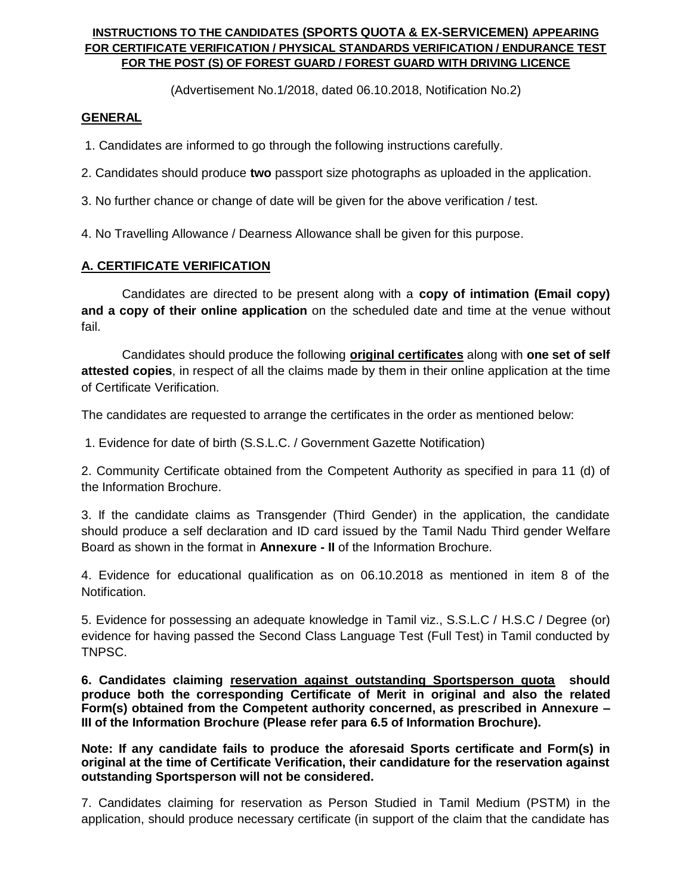#### **INSTRUCTIONS TO THE CANDIDATES (SPORTS QUOTA & EX-SERVICEMEN) APPEARING FOR CERTIFICATE VERIFICATION / PHYSICAL STANDARDS VERIFICATION / ENDURANCE TEST FOR THE POST (S) OF FOREST GUARD / FOREST GUARD WITH DRIVING LICENCE**

(Advertisement No.1/2018, dated 06.10.2018, Notification No.2)

### **GENERAL**

1. Candidates are informed to go through the following instructions carefully.

2. Candidates should produce **two** passport size photographs as uploaded in the application.

3. No further chance or change of date will be given for the above verification / test.

4. No Travelling Allowance / Dearness Allowance shall be given for this purpose.

## **A. CERTIFICATE VERIFICATION**

Candidates are directed to be present along with a **copy of intimation (Email copy) and a copy of their online application** on the scheduled date and time at the venue without fail.

Candidates should produce the following **original certificates** along with **one set of self attested copies**, in respect of all the claims made by them in their online application at the time of Certificate Verification.

The candidates are requested to arrange the certificates in the order as mentioned below:

1. Evidence for date of birth (S.S.L.C. / Government Gazette Notification)

2. Community Certificate obtained from the Competent Authority as specified in para 11 (d) of the Information Brochure.

3. If the candidate claims as Transgender (Third Gender) in the application, the candidate should produce a self declaration and ID card issued by the Tamil Nadu Third gender Welfare Board as shown in the format in **Annexure - II** of the Information Brochure.

4. Evidence for educational qualification as on 06.10.2018 as mentioned in item 8 of the Notification.

5. Evidence for possessing an adequate knowledge in Tamil viz., S.S.L.C / H.S.C / Degree (or) evidence for having passed the Second Class Language Test (Full Test) in Tamil conducted by TNPSC.

**6. Candidates claiming reservation against outstanding Sportsperson quota should produce both the corresponding Certificate of Merit in original and also the related Form(s) obtained from the Competent authority concerned, as prescribed in Annexure – III of the Information Brochure (Please refer para 6.5 of Information Brochure).** 

**Note: If any candidate fails to produce the aforesaid Sports certificate and Form(s) in original at the time of Certificate Verification, their candidature for the reservation against outstanding Sportsperson will not be considered.**

7. Candidates claiming for reservation as Person Studied in Tamil Medium (PSTM) in the application, should produce necessary certificate (in support of the claim that the candidate has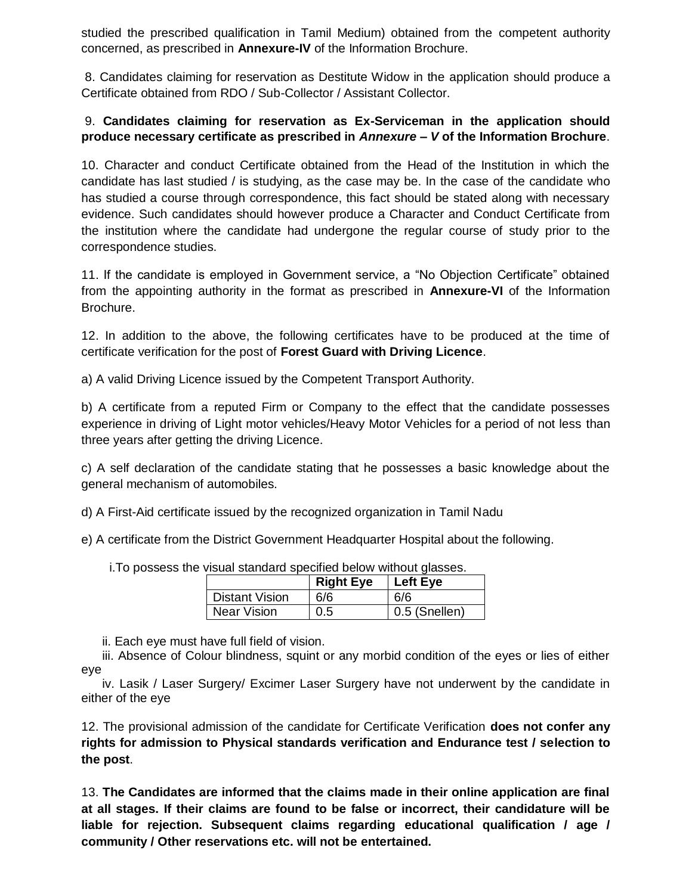studied the prescribed qualification in Tamil Medium) obtained from the competent authority concerned, as prescribed in **Annexure-IV** of the Information Brochure.

8. Candidates claiming for reservation as Destitute Widow in the application should produce a Certificate obtained from RDO / Sub-Collector / Assistant Collector.

# 9. **Candidates claiming for reservation as Ex-Serviceman in the application should produce necessary certificate as prescribed in** *Annexure – V* **of the Information Brochure**.

10. Character and conduct Certificate obtained from the Head of the Institution in which the candidate has last studied / is studying, as the case may be. In the case of the candidate who has studied a course through correspondence, this fact should be stated along with necessary evidence. Such candidates should however produce a Character and Conduct Certificate from the institution where the candidate had undergone the regular course of study prior to the correspondence studies.

11. If the candidate is employed in Government service, a "No Objection Certificate" obtained from the appointing authority in the format as prescribed in **Annexure-VI** of the Information Brochure.

12. In addition to the above, the following certificates have to be produced at the time of certificate verification for the post of **Forest Guard with Driving Licence**.

a) A valid Driving Licence issued by the Competent Transport Authority.

b) A certificate from a reputed Firm or Company to the effect that the candidate possesses experience in driving of Light motor vehicles/Heavy Motor Vehicles for a period of not less than three years after getting the driving Licence.

c) A self declaration of the candidate stating that he possesses a basic knowledge about the general mechanism of automobiles.

d) A First-Aid certificate issued by the recognized organization in Tamil Nadu

e) A certificate from the District Government Headquarter Hospital about the following.

i.To possess the visual standard specified below without glasses.

|                    | <b>Right Eye</b> | Left Eye      |
|--------------------|------------------|---------------|
| Distant Vision     | 6/6              | 6/6           |
| <b>Near Vision</b> | 0.5              | 0.5 (Snellen) |

ii. Each eye must have full field of vision.

 iii. Absence of Colour blindness, squint or any morbid condition of the eyes or lies of either eye

 iv. Lasik / Laser Surgery/ Excimer Laser Surgery have not underwent by the candidate in either of the eye

12. The provisional admission of the candidate for Certificate Verification **does not confer any rights for admission to Physical standards verification and Endurance test / selection to the post**.

13. **The Candidates are informed that the claims made in their online application are final at all stages. If their claims are found to be false or incorrect, their candidature will be liable for rejection. Subsequent claims regarding educational qualification / age / community / Other reservations etc. will not be entertained.**